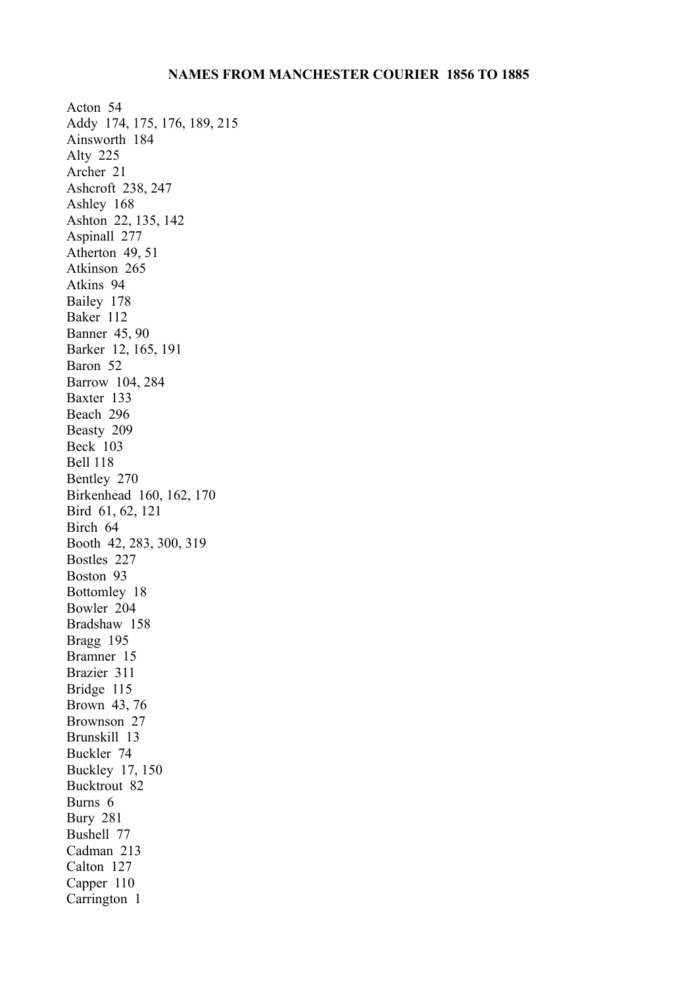Acton 54 Addy 174, 175, 176, 189, 215 Ainsworth 184 Alty 225 Archer 21 Ashcroft 238, 247 Ashley 168 Ashton 22, 135, 142 Aspinall 277 Atherton 49, 51 Atkinson 265 Atkins 94 Bailey 178 Baker 112 Banner 45, 90 Barker 12, 165, 191 Baron 52 Barrow 104, 284 Baxter 133 Beach 296 Beasty 209 Beck 103 Bell 118 Bentley 270 Birkenhead 160, 162, 170 Bird 61, 62, 121 Birch 64 Booth 42, 283, 300, 319 Bostles 227 Boston 93 Bottomley 18 Bowler 204 Bradshaw 158 Bragg 195 Bramner 15 Brazier 311 Bridge 115 Brown 43, 76 Brownson 27 Brunskill 13 Buckler 74 Buckley 17, 150 Bucktrout 82 Burns 6 Bury 281 Bushell 77 Cadman 213 Calton 127 Capper 110 Carrington 1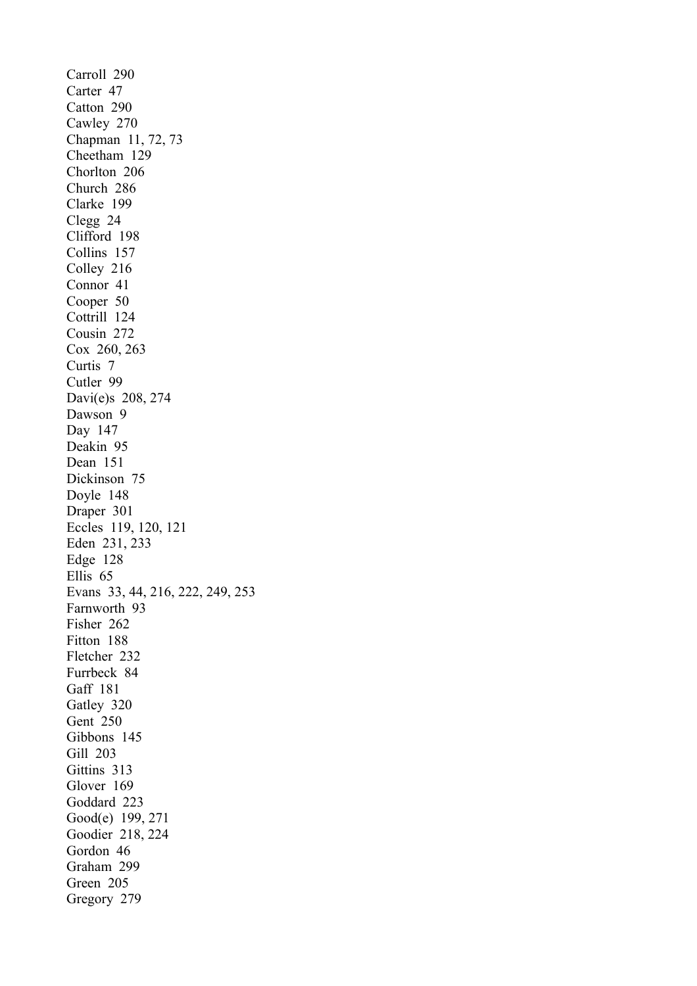Carroll 290 Carter 47 Catton 290 Cawley 270 Chapman 11, 72, 73 Cheetham 129 Chorlton 206 Church 286 Clarke 199 Clegg 24 Clifford 198 Collins 157 Colley 216 Connor 41 Cooper 50 Cottrill 124 Cousin 272 Cox 260, 263 Curtis 7 Cutler 99 Davi(e)s 208, 274 Dawson 9 Day 147 Deakin 95 Dean 151 Dickinson 75 Doyle 148 Draper 301 Eccles 119, 120, 121 Eden 231, 233 Edge 128 Ellis 65 Evans 33, 44, 216, 222, 249, 253 Farnworth 93 Fisher 262 Fitton 188 Fletcher 232 Furrbeck 84 Gaff 181 Gatley 320 Gent 250 Gibbons 145 Gill 203 Gittins 313 Glover 169 Goddard 223 Good(e) 199, 271 Goodier 218, 224 Gordon 46 Graham 299 Green 205 Gregory 279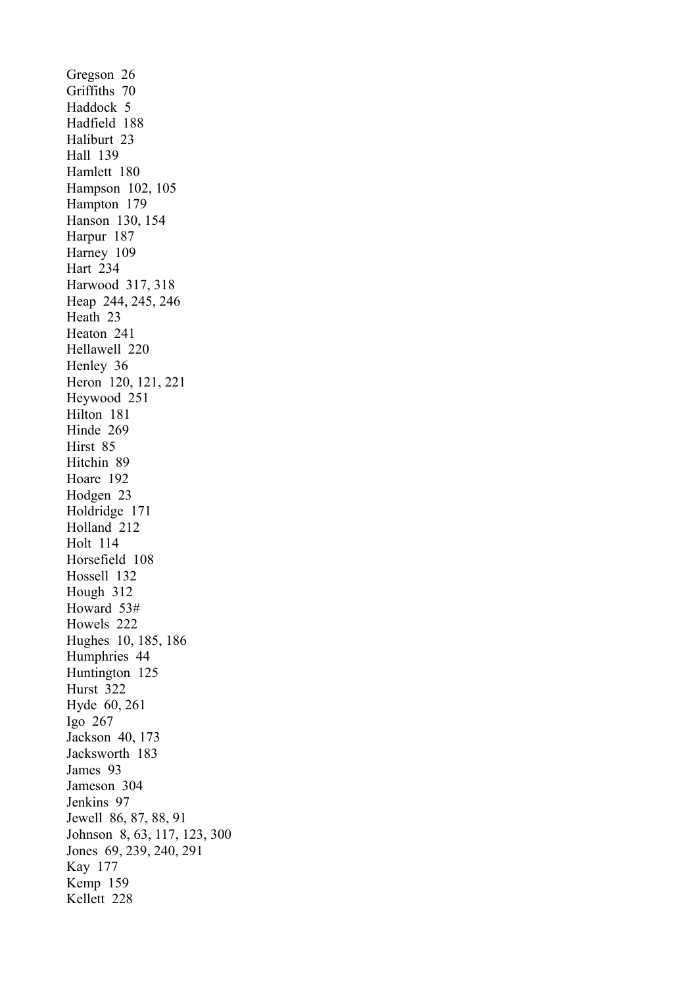Gregson 26 Griffiths 70 Haddock 5 Hadfield 188 Haliburt 23 Hall 139 Hamlett 180 Hampson 102, 105 Hampton 179 Hanson 130, 154 Harpur 187 Harney 109 Hart 234 Harwood 317, 318 Heap 244, 245, 246 Heath 23 Heaton 241 Hellawell 220 Henley 36 Heron 120, 121, 221 Heywood 251 Hilton 181 Hinde 269 Hirst 85 Hitchin 89 Hoare 192 Hodgen 23 Holdridge 171 Holland 212 Holt 114 Horsefield 108 Hossell 132 Hough 312 Howard 53# Howels 222 Hughes 10, 185, 186 Humphries 44 Huntington 125 Hurst 322 Hyde 60, 261 Igo 267 Jackson 40, 173 Jacksworth 183 James 93 Jameson 304 Jenkins 97 Jewell 86, 87, 88, 91 Johnson 8, 63, 117, 123, 300 Jones 69, 239, 240, 291 Kay 177 Kemp 159 Kellett 228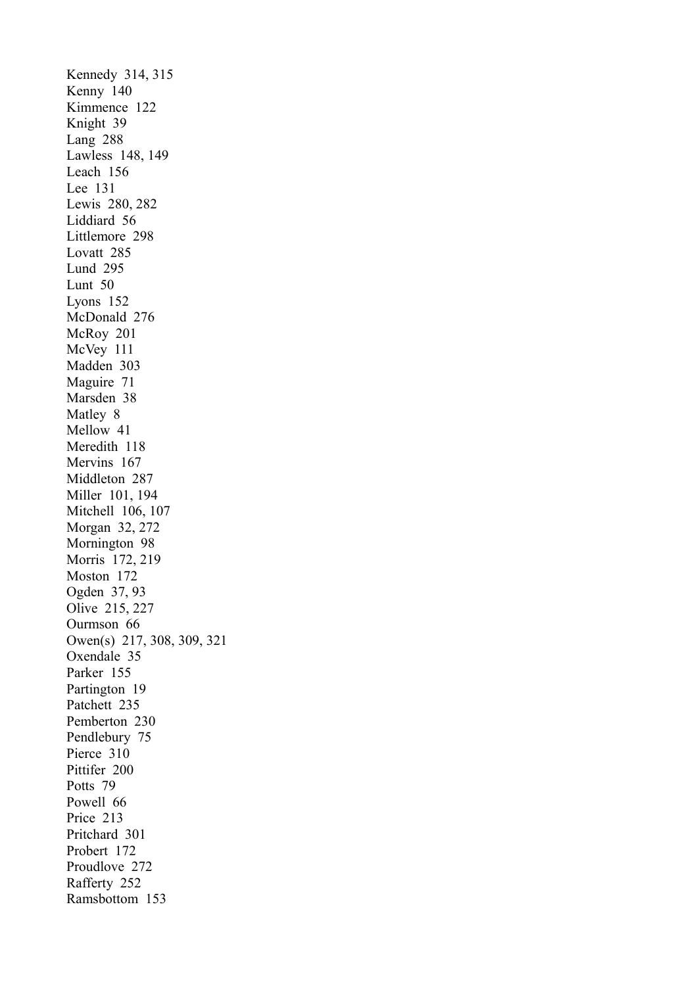Kennedy 314, 315 Kenny 140 Kimmence 122 Knight 39 Lang 288 Lawless 148, 149 Leach 156 Lee 131 Lewis 280, 282 Liddiard 56 Littlemore 298 Lovatt 285 Lund 295 Lunt 50 Lyons 152 McDonald 276 McRoy 201 McVey 111 Madden 303 Maguire 71 Marsden 38 Matley 8 Mellow 41 Meredith 118 Mervins 167 Middleton 287 Miller 101, 194 Mitchell 106, 107 Morgan 32, 272 Mornington 98 Morris 172, 219 Moston 172 Ogden 37, 93 Olive 215, 227 Ourmson 66 Owen(s) 217, 308, 309, 321 Oxendale 35 Parker 155 Partington 19 Patchett 235 Pemberton 230 Pendlebury 75 Pierce 310 Pittifer 200 Potts 79 Powell 66 Price 213 Pritchard 301 Probert 172 Proudlove 272 Rafferty 252 Ramsbottom 153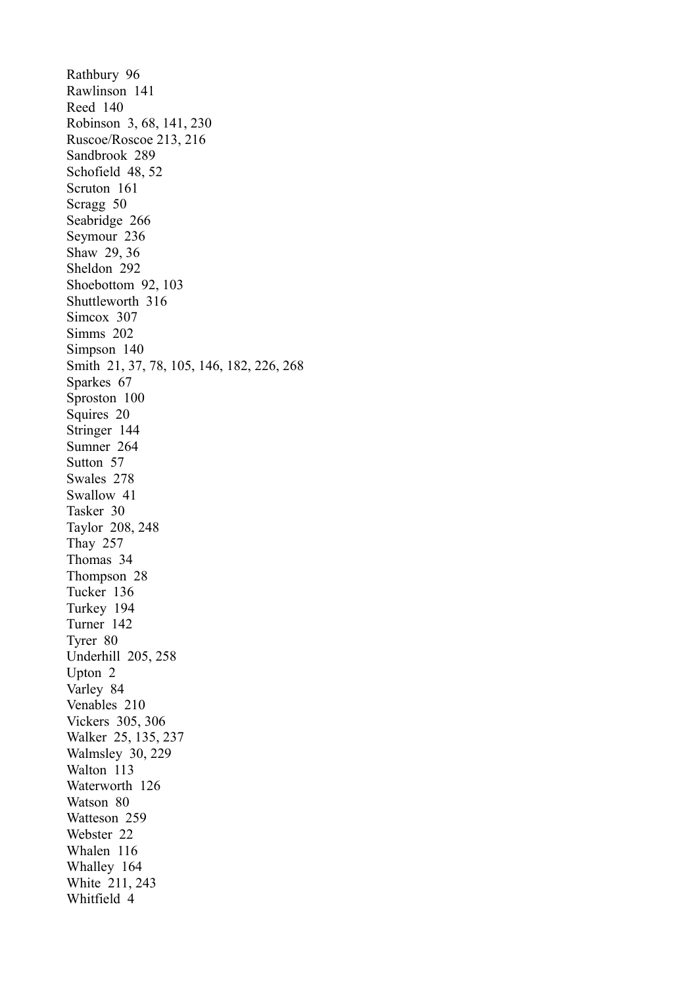Rathbury 96 Rawlinson 141 Reed 140 Robinson 3, 68, 141, 230 Ruscoe/Roscoe 213, 216 Sandbrook 289 Schofield 48, 52 Scruton 161 Scragg 50 Seabridge 266 Seymour 236 Shaw 29, 36 Sheldon 292 Shoebottom 92, 103 Shuttleworth 316 Simcox 307 Simms 202 Simpson 140 Smith 21, 37, 78, 105, 146, 182, 226, 268 Sparkes 67 Sproston 100 Squires 20 Stringer 144 Sumner 264 Sutton 57 Swales 278 Swallow 41 Tasker 30 Taylor 208, 248 Thay 257 Thomas 34 Thompson 28 Tucker 136 Turkey 194 Turner 142 Tyrer 80 Underhill 205, 258 Upton 2 Varley 84 Venables 210 Vickers 305, 306 Walker 25, 135, 237 Walmsley 30, 229 Walton 113 Waterworth 126 Watson 80 Watteson 259 Webster 22 Whalen 116 Whalley 164 White 211, 243 Whitfield 4